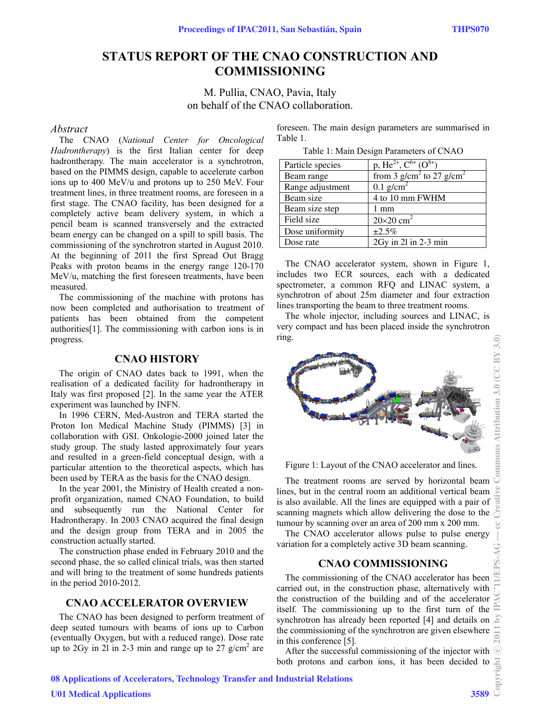# **STATUS REPORT OF THE CNAO CONSTRUCTION AND COMMISSIONING**

M. Pullia, CNAO, Pavia, Italy on behalf of the CNAO collaboration.

#### *Abstract*

The CNAO (*National Center for Oncological Hadrontherapy*) is the first Italian center for deep hadrontherapy. The main accelerator is a synchrotron, based on the PIMMS design, capable to accelerate carbon ions up to 400 MeV/u and protons up to 250 MeV. Four treatment lines, in three treatment rooms, are foreseen in a first stage. The CNAO facility, has been designed for a completely active beam delivery system, in which a pencil beam is scanned transversely and the extracted beam energy can be changed on a spill to spill basis. The commissioning of the synchrotron started in August 2010. At the beginning of 2011 the first Spread Out Bragg Peaks with proton beams in the energy range 120-170 MeV/u, matching the first foreseen treatments, have been measured.

The commissioning of the machine with protons has now been completed and authorisation to treatment of patients has been obtained from the competent authorities[1]. The commissioning with carbon ions is in progress.

# **CNAO HISTORY**

The origin of CNAO dates back to 1991, when the realisation of a dedicated facility for hadrontherapy in Italy was first proposed [2]. In the same year the ATER experiment was launched by INFN.

In 1996 CERN, Med-Austron and TERA started the Proton Ion Medical Machine Study (PIMMS) [3] in collaboration with GSI. Onkologie-2000 joined later the study group. The study lasted approximately four years and resulted in a green-field conceptual design, with a particular attention to the theoretical aspects, which has been used by TERA as the basis for the CNAO design.

In the year 2001, the Ministry of Health created a nonprofit organization, named CNAO Foundation, to build and subsequently run the National Center for Hadrontherapy. In 2003 CNAO acquired the final design and the design group from TERA and in 2005 the construction actually started.

The construction phase ended in February 2010 and the second phase, the so called clinical trials, was then started and will bring to the treatment of some hundreds patients in the period 2010-2012.

## **CNAO ACCELERATOR OVERVIEW**

The CNAO has been designed to perform treatment of deep seated tumours with beams of ions up to Carbon (eventually Oxygen, but with a reduced range). Dose rate up to  $2$ Gy in  $2$ l in  $2$ -3 min and range up to  $27$  g/cm<sup>2</sup> are foreseen. The main design parameters are summarised in Table 1.

Table 1: Main Design Parameters of CNAO

| Particle species | p, He <sup>2+</sup> , $C^{6+}$ ( $O^{8+}$ ) |
|------------------|---------------------------------------------|
| Beam range       | from 3 $g/cm2$ to 27 $g/cm2$                |
| Range adjustment | $0.1$ g/cm <sup>2</sup>                     |
| Beam size        | 4 to 10 mm FWHM                             |
| Beam size step   | $1 \text{ mm}$                              |
| Field size       | $20\times20$ cm <sup>2</sup>                |
| Dose uniformity  | ±2.5%                                       |
| Dose rate        | $2Gy$ in $21$ in $2-3$ min                  |

The CNAO accelerator system, shown in Figure 1, includes two ECR sources, each with a dedicated spectrometer, a common RFO and LINAC system, a synchrotron of about 25m diameter and four extraction lines transporting the beam to three treatment rooms.

The whole injector, including sources and LINAC, is very compact and has been placed inside the synchrotron ring.



Figure 1: Layout of the CNAO accelerator and lines.

The treatment rooms are served by horizontal beam lines, but in the central room an additional vertical beam is also available. All the lines are equipped with a pair of scanning magnets which allow delivering the dose to the tumour by scanning over an area of 200 mm x 200 mm.

The CNAO accelerator allows pulse to pulse energy variation for a completely active 3D beam scanning.

# **CNAO COMMISSIONING**

The commissioning of the CNAO accelerator has been carried out, in the construction phase, alternatively with the construction of the building and of the accelerator itself. The commissioning up to the first turn of the synchrotron has already been reported [4] and details on the commissioning of the synchrotron are given elsewhere in this conference [5].

After the successful commissioning of the injector with both protons and carbon ions, it has been decided to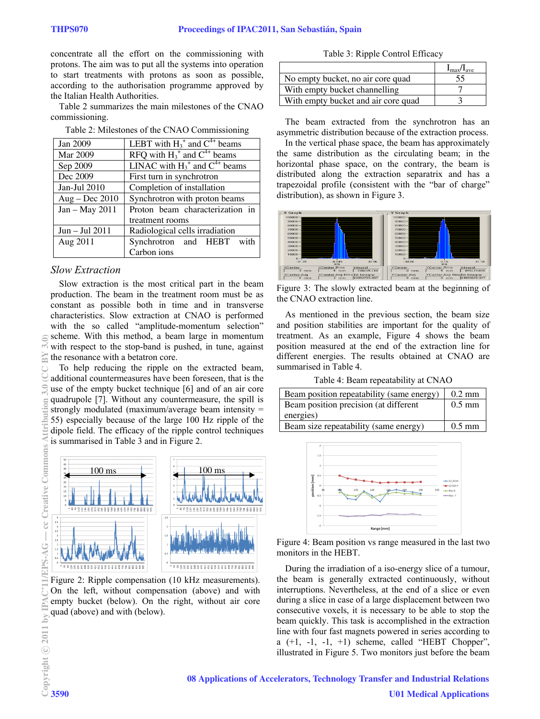concentrate all the effort on the commissioning with protons. The aim was to put all the systems into operation to start treatments with protons as soon as possible, according to the authorisation programme approved by the Italian Health Authorities.

Table 2 summarizes the main milestones of the CNAO commissioning.

| Jan 2009         | LEBT with $H_3^+$ and $C^{4+}$ beams          |
|------------------|-----------------------------------------------|
| Mar 2009         | RFQ with $H_3^+$ and $C^{4+}$ beams           |
| Sep 2009         | LINAC with $H_3^{\dagger}$ and $C^{4+}$ beams |
| Dec 2009         | First turn in synchrotron                     |
| Jan-Jul 2010     | Completion of installation                    |
| $Aug - Dec 2010$ | Synchrotron with proton beams                 |
| Jan - May 2011   | Proton beam characterization in               |
|                  | treatment rooms                               |
| $Jun - Jul 2011$ | Radiological cells irradiation                |
| Aug 2011         | Synchrotron and HEBT with                     |
|                  | Carbon ions                                   |

### *Slow Extraction*

Slow extraction is the most critical part in the beam production. The beam in the treatment room must be as constant as possible both in time and in transverse characteristics. Slow extraction at CNAO is performed with the so called "amplitude-momentum selection" scheme. With this method, a beam large in momentum with respect to the stop-band is pushed, in tune, against the resonance with a betatron core.

To help reducing the ripple on the extracted beam, additional countermeasures have been foreseen, that is the use of the empty bucket technique [6] and of an air core quadrupole [7]. Without any countermeasure, the spill is strongly modulated (maximum/average beam intensity  $=$ 55) especially because of the large 100 Hz ripple of the dipole field. The efficacy of the ripple control techniques is summarised in Table 3 and in Figure 2.



Figure 2: Ripple compensation (10 kHz measurements). On the left, without compensation (above) and with empty bucket (below). On the right, without air core quad (above) and with (below).

Table 3: Ripple Control Efficacy

|                                     | $I_{\rm max}/I_{\rm ave}$ |
|-------------------------------------|---------------------------|
| No empty bucket, no air core quad   | 55                        |
| With empty bucket channelling       |                           |
| With empty bucket and air core quad |                           |

The beam extracted from the synchrotron has an asymmetric distribution because of the extraction process.

In the vertical phase space, the beam has approximately the same distribution as the circulating beam; in the horizontal phase space, on the contrary, the beam is distributed along the extraction separatrix and has a trapezoidal profile (consistent with the "bar of charge" distribution), as shown in Figure 3.



Figure 3: The slowly extracted beam at the beginning of the CNAO extraction line.

As mentioned in the previous section, the beam size and position stabilities are important for the quality of treatment. As an example, Figure 4 shows the beam position measured at the end of the extraction line for different energies. The results obtained at CNAO are summarised in Table 4.

Table 4: Beam repeatability at CNAO

| Beam position repeatability (same energy) | $0.2 \text{ mm}$ |
|-------------------------------------------|------------------|
| Beam position precision (at different     | $0.5$ mm         |
| energies)                                 |                  |
| Beam size repeatability (same energy)     | $0.5$ mm         |



Figure 4: Beam position vs range measured in the last two monitors in the HEBT.

During the irradiation of a iso-energy slice of a tumour, the beam is generally extracted continuously, without interruptions. Nevertheless, at the end of a slice or even during a slice in case of a large displacement between two consecutive voxels, it is necessary to be able to stop the beam quickly. This task is accomplished in the extraction line with four fast magnets powered in series according to a  $(+1, -1, -1, +1)$  scheme, called "HEBT Chopper", illustrated in Figure 5. Two monitors just before the beam